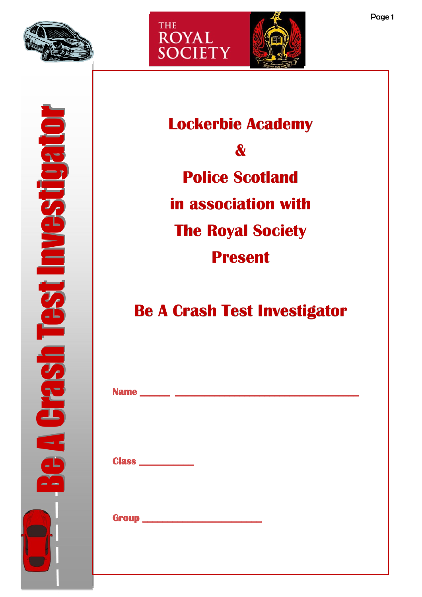

Be A Crash Test Investigator

**TRSP** 

**Test Investigat** 



**Lockerbie Academy & Police Scotland in association with The Royal Society Present**

# **Be A Crash Test Investigator**

|                   | Name ________ _____________________ |  |
|-------------------|-------------------------------------|--|
|                   |                                     |  |
| Class ___________ |                                     |  |
|                   |                                     |  |
|                   |                                     |  |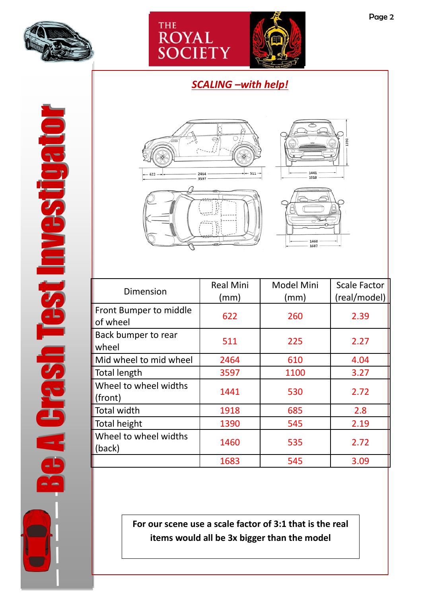



## *SCALING –with help!*







**For our scene use a scale factor of 3:1 that is the real items would all be 3x bigger than the model**

Be A Crash Test Investigator Be A Crash Test Investigator **BRUSHEST INGSTRIST**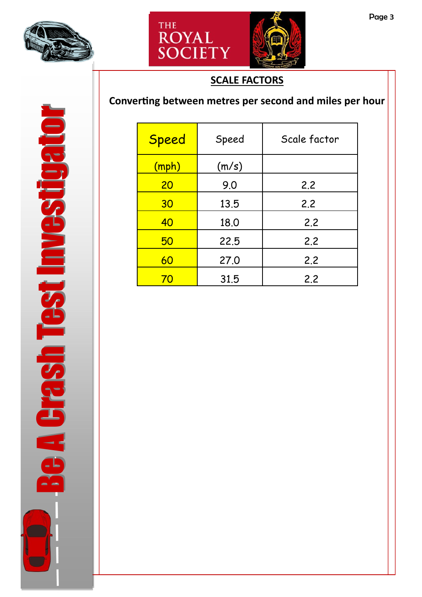



## **SCALE FACTORS**

# **Converting between metres per second and miles per hour**

| <b>Speed</b> | Speed | Scale factor |
|--------------|-------|--------------|
| (mph)        | (m/s) |              |
| 20           | 9.0   | 2.2          |
| 30           | 13.5  | 2.2          |
| 40           | 18.0  | 2.2          |
| 50           | 22.5  | 2.2          |
| 60           | 27.0  | 2.2          |
| 70           | 31.5  | 2.2          |

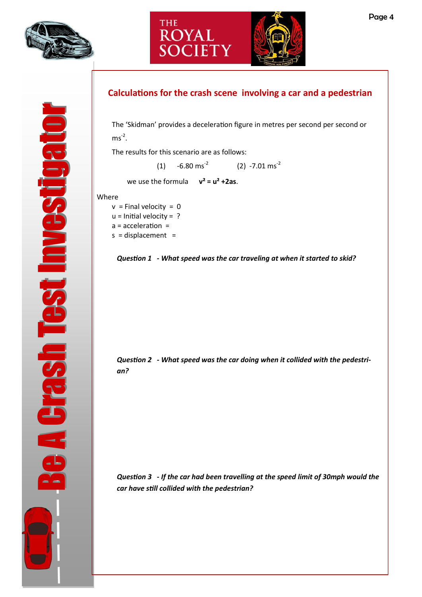

**A Grash Test Investigato** 





### **Calculations for the crash scene involving a car and a pedestrian**

The 'Skidman' provides a deceleration figure in metres per second per second or  $ms^{-2}$ .

The results for this scenario are as follows:

(1)  $-6.80 \text{ ms}^{-2}$  (2)  $-7.01 \text{ ms}^{-2}$ 

we use the formula **v² = u² +2as**.

Where

- $v =$  Final velocity = 0
- $u =$  Initial velocity = ?
- a = acceleration =
- $s = displacement =$



*Question 2* **-** *What speed was the car doing when it collided with the pedestrian?*

*Question 3* **-** *If the car had been travelling at the speed limit of 30mph would the car have still collided with the pedestrian?*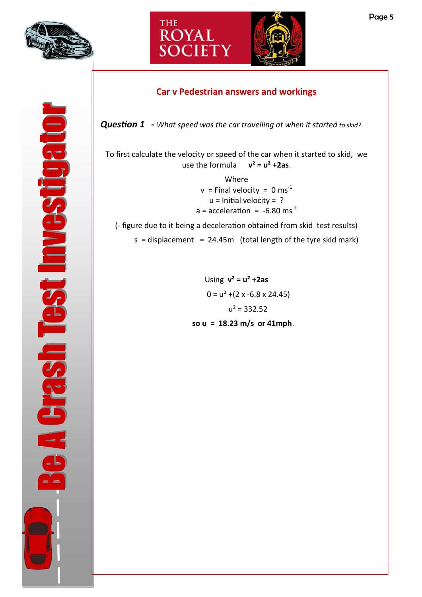

**A Crash Test Investigat** 





#### **Car v Pedestrian answers and workings**

*Question 1* **-** *What speed was the car travelling at when it started to skid?*

To first calculate the velocity or speed of the car when it started to skid, we use the formula **v² = u² +2as**.

> Where  $v =$  Final velocity = 0 ms<sup>-1</sup>  $u =$  Initial velocity = ?  $a = acceleration = -6.80$  ms<sup>-2</sup>

(- figure due to it being a deceleration obtained from skid test results)  $s = displacement = 24.45m$  (total length of the tyre skid mark)

> Using **v² = u² +2as**   $0 = u<sup>2</sup> + (2 x - 6.8 x 24.45)$  $u^2 = 332.52$ **so u = 18.23 m/s or 41mph**.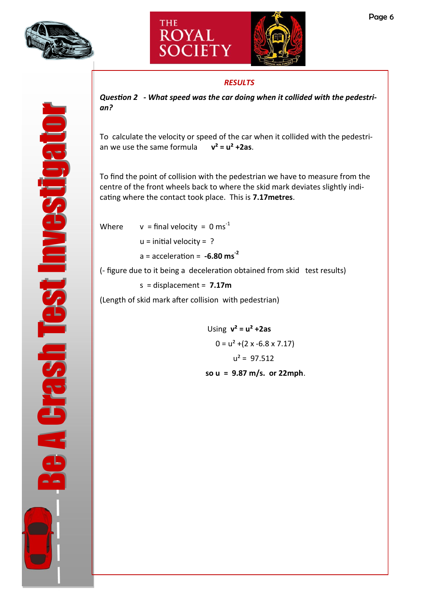![](_page_5_Picture_0.jpeg)

![](_page_5_Picture_1.jpeg)

#### *RESULTS*

![](_page_5_Picture_4.jpeg)

*Question 2* **-** *What speed was the car doing when it collided with the pedestrian?*

To calculate the velocity or speed of the car when it collided with the pedestrian we use the same formula **v² = u² +2as**.

To find the point of collision with the pedestrian we have to measure from the centre of the front wheels back to where the skid mark deviates slightly indicating where the contact took place. This is **7.17metres**.

Where  $v = \text{final velocity} = 0 \text{ ms}^{-1}$  $u =$  initial velocity = ?

 $a = acceleration = -6.80$  ms<sup>-2</sup>

(- figure due to it being a deceleration obtained from skid test results)

s = displacement = **7.17m** 

(Length of skid mark after collision with pedestrian)

Using **v² = u² +2as**   $0 = u^2 + (2 \times -6.8 \times 7.17)$  $u^2 = 97.512$ **so u = 9.87 m/s. or 22mph**.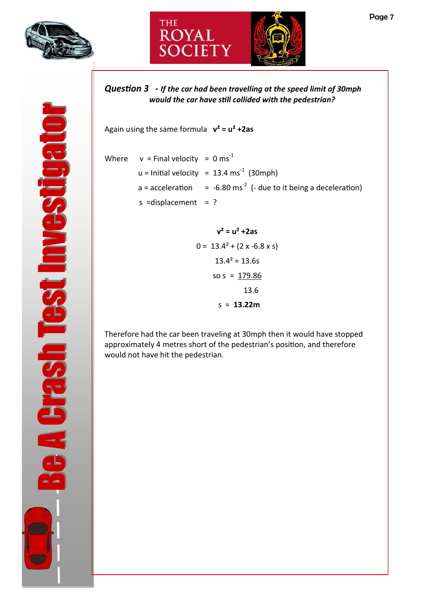![](_page_6_Picture_0.jpeg)

![](_page_6_Picture_1.jpeg)

![](_page_6_Picture_2.jpeg)

*Question 3* **-** *If the car had been travelling at the speed limit of 30mph would the car have still collided with the pedestrian?*

Again using the same formula **v² = u² +2as** 

- Where  $v =$  Final velocity = 0 ms<sup>-1</sup>  $u =$  Initial velocity = 13.4 ms<sup>-1</sup> (30mph) a = acceleration  $= -6.80$  ms<sup>-2</sup> (- due to it being a deceleration) s = displacement = ?
	- **v² = u² +2as**   $0 = 13.4^2 + (2 \times -6.8 \times s)$  $13.4^2 = 13.6s$ so  $s = 179.86$  13.6 s = **13.22m**

Therefore had the car been traveling at 30mph then it would have stopped approximately 4 metres short of the pedestrian's position, and therefore would not have hit the pedestrian.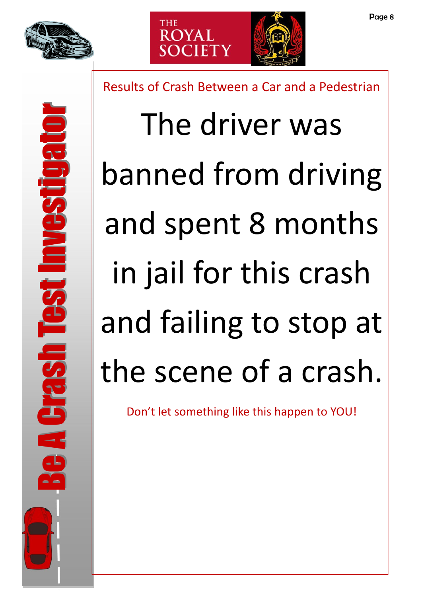![](_page_7_Picture_0.jpeg)

![](_page_7_Picture_1.jpeg)

Results of Crash Between a Car and a Pedestrian

The driver was banned from driving and spent 8 months in jail for this crash and failing to stop at the scene of a crash.

Don't let something like this happen to YOU!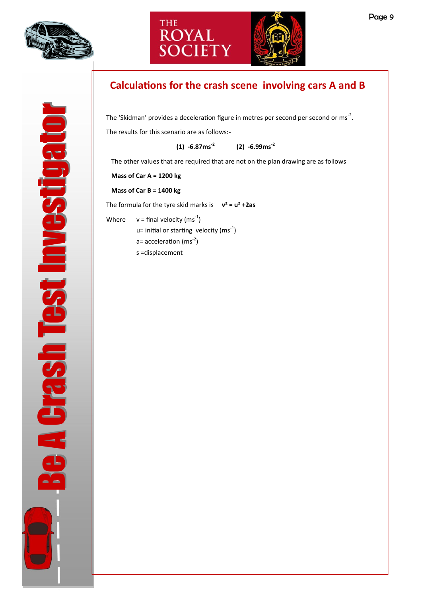![](_page_8_Picture_0.jpeg)

**A Crash Test Investigat** 

![](_page_8_Picture_1.jpeg)

![](_page_8_Picture_2.jpeg)

# **Calculations for the crash scene involving cars A and B**

The 'Skidman' provides a deceleration figure in metres per second per second or ms<sup>-2</sup>. The results for this scenario are as follows:-

> **(1) -6.87ms-<sup>2</sup> (2) -6.99ms-<sup>2</sup>**

The other values that are required that are not on the plan drawing are as follows

**Mass of Car A = 1200 kg**

**Mass of Car B = 1400 kg**

The formula for the tyre skid marks is  $v^2 = u^2 + 2as$ 

Where  $v =$  final velocity (ms<sup>-1</sup>)  $u=$  initial or starting velocity (ms<sup>-1</sup>)  $a=$  acceleration (ms<sup>-2</sup>) s =displacement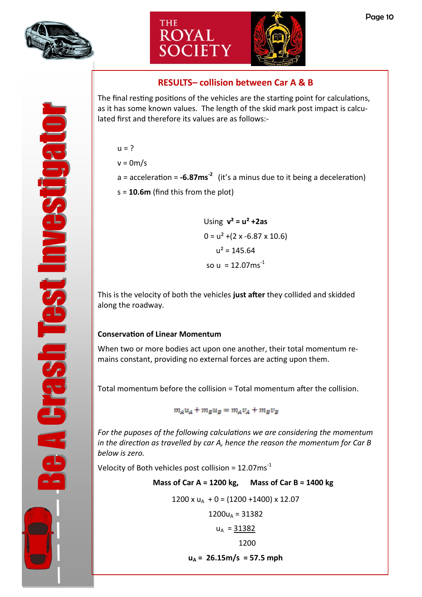![](_page_9_Picture_0.jpeg)

**A Crash Test Investigato** 

![](_page_9_Picture_1.jpeg)

![](_page_9_Picture_2.jpeg)

#### **RESULTS– collision between Car A & B**

The final resting positions of the vehicles are the starting point for calculations, as it has some known values. The length of the skid mark post impact is calculated first and therefore its values are as follows:-

 $u = ?$ 

 $v = 0m/s$ 

a = acceleration = **-6.87ms-<sup>2</sup>** (it's a minus due to it being a deceleration)

s = **10.6m** (find this from the plot)

Using **v² = u² +2as**   $0 = u^2 + (2 \times -6.87 \times 10.6)$  $u^2 = 145.64$ so u =  $12.07$ ms<sup>-1</sup>

This is the velocity of both the vehicles **just after** they collided and skidded along the roadway.

#### **Conservation of Linear Momentum**

When two or more bodies act upon one another, their total momentum remains constant, providing no external forces are acting upon them.

Total momentum before the collision = Total momentum after the collision.

 $m_A u_A + m_B u_B = m_A v_A + m_B v_B$ 

*For the puposes of the following calculations we are considering the momentum in the direction as travelled by car A, hence the reason the momentum for Car B below is zero.*

Velocity of Both vehicles post collision =  $12.07 \text{ms}^{-1}$ 

|                                                    | Mass of Car A = 1200 kg, Mass of Car B = 1400 kg |  |  |  |
|----------------------------------------------------|--------------------------------------------------|--|--|--|
| $1200 \times u_A + 0 = (1200 + 1400) \times 12.07$ |                                                  |  |  |  |
|                                                    | $1200u_A = 31382$                                |  |  |  |
|                                                    | $u_A = 31382$                                    |  |  |  |
|                                                    | 1200                                             |  |  |  |
|                                                    |                                                  |  |  |  |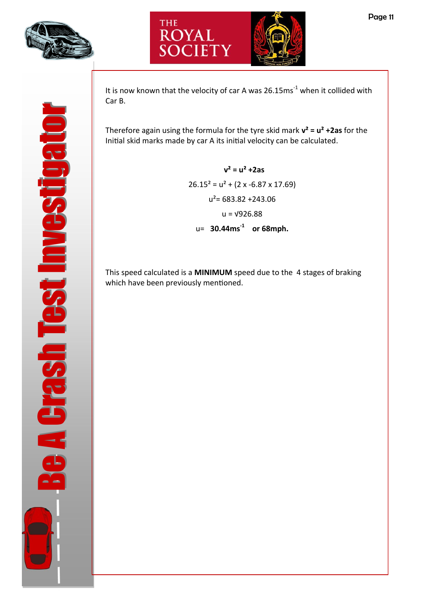![](_page_10_Picture_0.jpeg)

![](_page_10_Picture_1.jpeg)

It is now known that the velocity of car A was  $26.15 \text{ms}^{-1}$  when it collided with Car B.

Therefore again using the formula for the tyre skid mark **v² = u² +2as** for the Initial skid marks made by car A its initial velocity can be calculated.

> **v² = u² +2as**  $26.15^2 = u^2 + (2 \times -6.87 \times 17.69)$  $u^2$ = 683.82 +243.06  $u = \sqrt{926.88}$ u= **30.44ms-<sup>1</sup> or 68mph.**

This speed calculated is a **MINIMUM** speed due to the 4 stages of braking which have been previously mentioned.